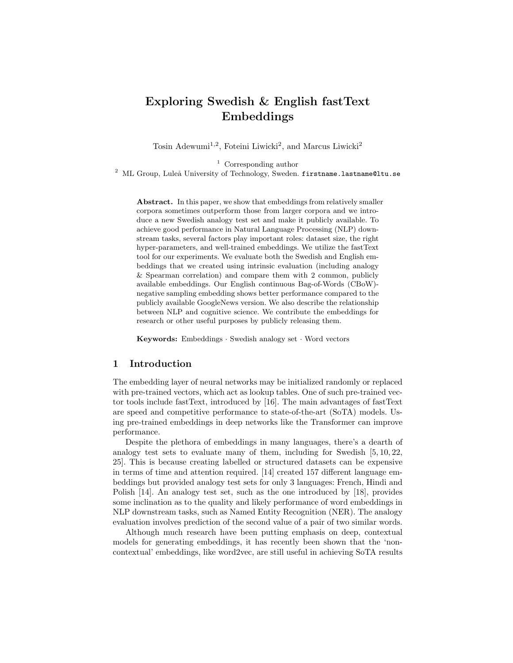# Exploring Swedish & English fastText Embeddings

Tosin Adewumi<sup>1,2</sup>, Foteini Liwicki<sup>2</sup>, and Marcus Liwicki<sup>2</sup>

<sup>1</sup> Corresponding author

 $^{2}$  ML Group, Luleå University of Technology, Sweden. firstname.lastname@ltu.se

Abstract. In this paper, we show that embeddings from relatively smaller corpora sometimes outperform those from larger corpora and we introduce a new Swedish analogy test set and make it publicly available. To achieve good performance in Natural Language Processing (NLP) downstream tasks, several factors play important roles: dataset size, the right hyper-parameters, and well-trained embeddings. We utilize the fastText tool for our experiments. We evaluate both the Swedish and English embeddings that we created using intrinsic evaluation (including analogy & Spearman correlation) and compare them with 2 common, publicly available embeddings. Our English continuous Bag-of-Words (CBoW) negative sampling embedding shows better performance compared to the publicly available GoogleNews version. We also describe the relationship between NLP and cognitive science. We contribute the embeddings for research or other useful purposes by publicly releasing them.

Keywords: Embeddings · Swedish analogy set · Word vectors

# 1 Introduction

The embedding layer of neural networks may be initialized randomly or replaced with pre-trained vectors, which act as lookup tables. One of such pre-trained vector tools include fastText, introduced by [16]. The main advantages of fastText are speed and competitive performance to state-of-the-art (SoTA) models. Using pre-trained embeddings in deep networks like the Transformer can improve performance.

Despite the plethora of embeddings in many languages, there's a dearth of analogy test sets to evaluate many of them, including for Swedish  $[5, 10, 22,$ 25]. This is because creating labelled or structured datasets can be expensive in terms of time and attention required. [14] created 157 different language embeddings but provided analogy test sets for only 3 languages: French, Hindi and Polish [14]. An analogy test set, such as the one introduced by [18], provides some inclination as to the quality and likely performance of word embeddings in NLP downstream tasks, such as Named Entity Recognition (NER). The analogy evaluation involves prediction of the second value of a pair of two similar words.

Although much research have been putting emphasis on deep, contextual models for generating embeddings, it has recently been shown that the 'noncontextual' embeddings, like word2vec, are still useful in achieving SoTA results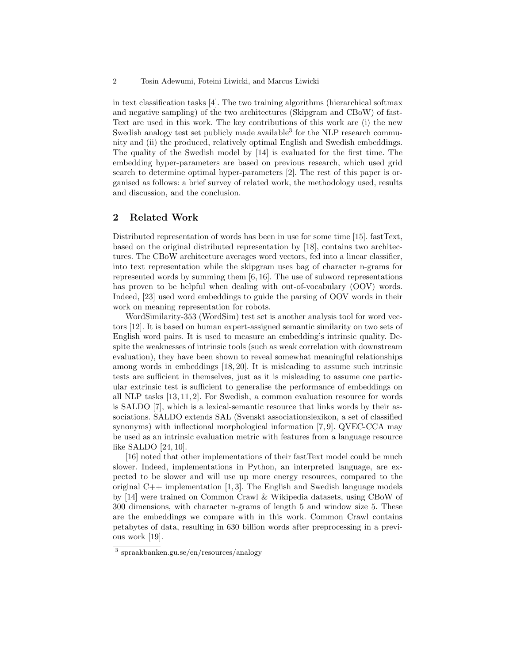in text classification tasks [4]. The two training algorithms (hierarchical softmax and negative sampling) of the two architectures (Skipgram and CBoW) of fast-Text are used in this work. The key contributions of this work are (i) the new Swedish analogy test set publicly made available<sup>3</sup> for the NLP research community and (ii) the produced, relatively optimal English and Swedish embeddings. The quality of the Swedish model by [14] is evaluated for the first time. The embedding hyper-parameters are based on previous research, which used grid search to determine optimal hyper-parameters [2]. The rest of this paper is organised as follows: a brief survey of related work, the methodology used, results and discussion, and the conclusion.

# 2 Related Work

Distributed representation of words has been in use for some time [15]. fastText, based on the original distributed representation by [18], contains two architectures. The CBoW architecture averages word vectors, fed into a linear classifier, into text representation while the skipgram uses bag of character n-grams for represented words by summing them [6, 16]. The use of subword representations has proven to be helpful when dealing with out-of-vocabulary (OOV) words. Indeed, [23] used word embeddings to guide the parsing of OOV words in their work on meaning representation for robots.

WordSimilarity-353 (WordSim) test set is another analysis tool for word vectors [12]. It is based on human expert-assigned semantic similarity on two sets of English word pairs. It is used to measure an embedding's intrinsic quality. Despite the weaknesses of intrinsic tools (such as weak correlation with downstream evaluation), they have been shown to reveal somewhat meaningful relationships among words in embeddings [18, 20]. It is misleading to assume such intrinsic tests are sufficient in themselves, just as it is misleading to assume one particular extrinsic test is sufficient to generalise the performance of embeddings on all NLP tasks [13, 11, 2]. For Swedish, a common evaluation resource for words is SALDO [7], which is a lexical-semantic resource that links words by their associations. SALDO extends SAL (Svenskt associationslexikon, a set of classified synonyms) with inflectional morphological information [7, 9]. QVEC-CCA may be used as an intrinsic evaluation metric with features from a language resource like SALDO [24, 10].

[16] noted that other implementations of their fastText model could be much slower. Indeed, implementations in Python, an interpreted language, are expected to be slower and will use up more energy resources, compared to the original  $C++$  implementation [1,3]. The English and Swedish language models by [14] were trained on Common Crawl & Wikipedia datasets, using CBoW of 300 dimensions, with character n-grams of length 5 and window size 5. These are the embeddings we compare with in this work. Common Crawl contains petabytes of data, resulting in 630 billion words after preprocessing in a previous work [19].

<sup>3</sup> spraakbanken.gu.se/en/resources/analogy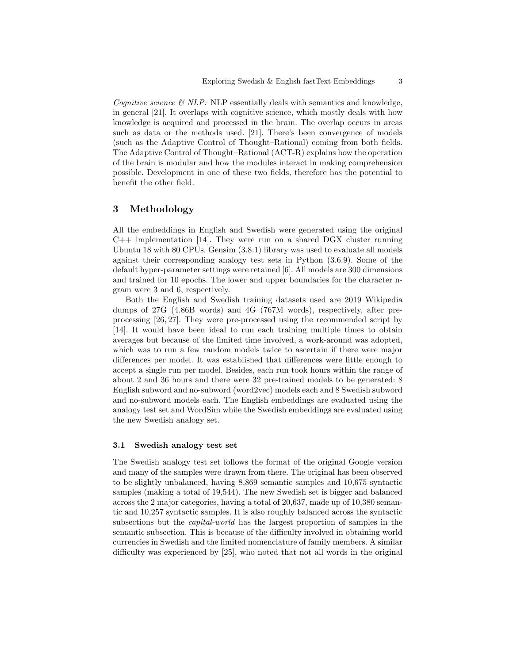Cognitive science  $\mathcal{B}$  NLP: NLP essentially deals with semantics and knowledge, in general [21]. It overlaps with cognitive science, which mostly deals with how knowledge is acquired and processed in the brain. The overlap occurs in areas such as data or the methods used. [21]. There's been convergence of models (such as the Adaptive Control of Thought–Rational) coming from both fields. The Adaptive Control of Thought–Rational (ACT-R) explains how the operation of the brain is modular and how the modules interact in making comprehension possible. Development in one of these two fields, therefore has the potential to benefit the other field.

## 3 Methodology

All the embeddings in English and Swedish were generated using the original  $C++$  implementation [14]. They were run on a shared DGX cluster running Ubuntu 18 with 80 CPUs. Gensim (3.8.1) library was used to evaluate all models against their corresponding analogy test sets in Python (3.6.9). Some of the default hyper-parameter settings were retained [6]. All models are 300 dimensions and trained for 10 epochs. The lower and upper boundaries for the character ngram were 3 and 6, respectively.

Both the English and Swedish training datasets used are 2019 Wikipedia dumps of 27G (4.86B words) and 4G (767M words), respectively, after preprocessing [26, 27]. They were pre-processed using the recommended script by [14]. It would have been ideal to run each training multiple times to obtain averages but because of the limited time involved, a work-around was adopted, which was to run a few random models twice to ascertain if there were major differences per model. It was established that differences were little enough to accept a single run per model. Besides, each run took hours within the range of about 2 and 36 hours and there were 32 pre-trained models to be generated: 8 English subword and no-subword (word2vec) models each and 8 Swedish subword and no-subword models each. The English embeddings are evaluated using the analogy test set and WordSim while the Swedish embeddings are evaluated using the new Swedish analogy set.

#### 3.1 Swedish analogy test set

The Swedish analogy test set follows the format of the original Google version and many of the samples were drawn from there. The original has been observed to be slightly unbalanced, having 8,869 semantic samples and 10,675 syntactic samples (making a total of 19,544). The new Swedish set is bigger and balanced across the 2 major categories, having a total of 20,637, made up of 10,380 semantic and 10,257 syntactic samples. It is also roughly balanced across the syntactic subsections but the capital-world has the largest proportion of samples in the semantic subsection. This is because of the difficulty involved in obtaining world currencies in Swedish and the limited nomenclature of family members. A similar difficulty was experienced by [25], who noted that not all words in the original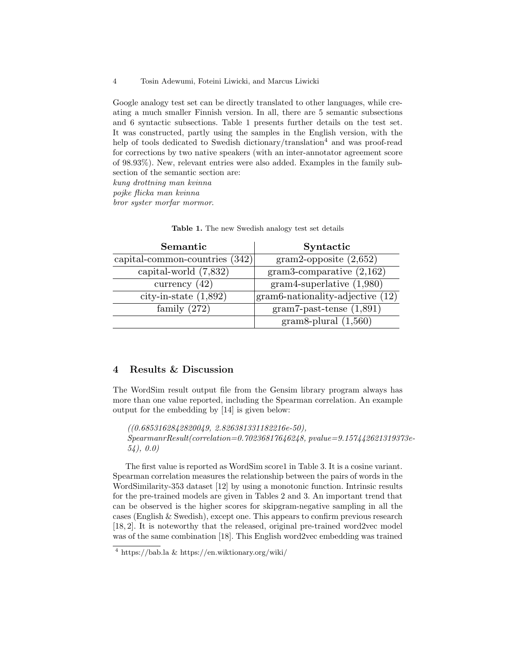4 Tosin Adewumi, Foteini Liwicki, and Marcus Liwicki

Google analogy test set can be directly translated to other languages, while creating a much smaller Finnish version. In all, there are 5 semantic subsections and 6 syntactic subsections. Table 1 presents further details on the test set. It was constructed, partly using the samples in the English version, with the help of tools dedicated to Swedish dictionary/translation<sup>4</sup> and was proof-read for corrections by two native speakers (with an inter-annotator agreement score of 98.93%). New, relevant entries were also added. Examples in the family subsection of the semantic section are:

kung drottning man kvinna

pojke flicka man kvinna

bror syster morfar mormor.

| Semantic                       | Syntactic                        |
|--------------------------------|----------------------------------|
| capital-common-countries (342) | $gram2$ -opposite $(2,652)$      |
| capital-world (7,832)          | gram3-comparative $(2,162)$      |
| currency $(42)$                | $gram4$ -superlative $(1,980)$   |
| city-in-state $(1,892)$        | gram6-nationality-adjective (12) |
| family $(272)$                 | $gram7-past-tense(1,891)$        |
|                                | gram8-plural $(1,560)$           |

Table 1. The new Swedish analogy test set details

## 4 Results & Discussion

The WordSim result output file from the Gensim library program always has more than one value reported, including the Spearman correlation. An example output for the embedding by [14] is given below:

((0.6853162842820049, 2.826381331182216e-50), SpearmanrResult(correlation=0.70236817646248, pvalue=9.157442621319373e-54), 0.0)

The first value is reported as WordSim score1 in Table 3. It is a cosine variant. Spearman correlation measures the relationship between the pairs of words in the WordSimilarity-353 dataset [12] by using a monotonic function. Intrinsic results for the pre-trained models are given in Tables 2 and 3. An important trend that can be observed is the higher scores for skipgram-negative sampling in all the cases (English & Swedish), except one. This appears to confirm previous research [18, 2]. It is noteworthy that the released, original pre-trained word2vec model was of the same combination [18]. This English word2vec embedding was trained

 $\frac{4 \text{ https://bab.la \& https://en.wikipedia.org/wiki/}}{4 \text{ https://bab.la \& https://en.wikipedia.org/wiki/}}$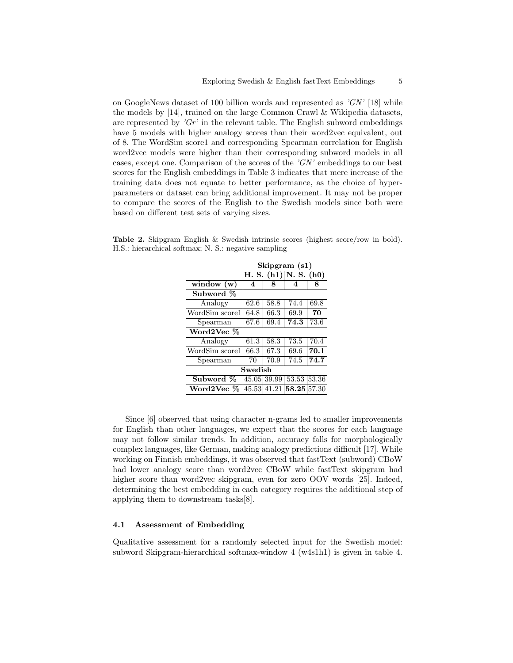on GoogleNews dataset of 100 billion words and represented as  $'GN'$  [18] while the models by [14], trained on the large Common Crawl & Wikipedia datasets, are represented by  $'Gr'$  in the relevant table. The English subword embeddings have 5 models with higher analogy scores than their word2vec equivalent, out of 8. The WordSim score1 and corresponding Spearman correlation for English word2vec models were higher than their corresponding subword models in all cases, except one. Comparison of the scores of the  $'GN'$  embeddings to our best scores for the English embeddings in Table 3 indicates that mere increase of the training data does not equate to better performance, as the choice of hyperparameters or dataset can bring additional improvement. It may not be proper to compare the scores of the English to the Swedish models since both were based on different test sets of varying sizes.

|                | Skipgram $(s1)$           |             |             |       |
|----------------|---------------------------|-------------|-------------|-------|
|                | H. S. $(h1) N.$ S. $(h0)$ |             |             |       |
| window $(w)$   | 4                         | 8           | 4           | 8     |
| Subword %      |                           |             |             |       |
| Analogy        | 62.6                      | 58.8        | 74.4        | 69.8  |
| WordSim score1 | 64.8                      | 66.3        | 69.9        | 70    |
| Spearman       | 67.6                      | 69.4        | 74.3        | 73.6  |
| Word2Vec %     |                           |             |             |       |
| Analogy        | 61.3                      | 58.3        | 73.5        | 70.4  |
| WordSim score1 | 66.3                      | 67.3        | 69.6        | 70.1  |
| Spearman       | 70                        | 70.9        | 74.5        | 74.7  |
| Swedish        |                           |             |             |       |
| Subword %      |                           | 45.05 39.99 | 53.53       | 53.36 |
| Word2Vec %     |                           | 45.53 41.21 | 58.25 57.30 |       |

Table 2. Skipgram English & Swedish intrinsic scores (highest score/row in bold). H.S.: hierarchical softmax; N. S.: negative sampling

Since [6] observed that using character n-grams led to smaller improvements for English than other languages, we expect that the scores for each language may not follow similar trends. In addition, accuracy falls for morphologically complex languages, like German, making analogy predictions difficult [17]. While working on Finnish embeddings, it was observed that fastText (subword) CBoW had lower analogy score than word2vec CBoW while fastText skipgram had higher score than word2vec skipgram, even for zero OOV words [25]. Indeed, determining the best embedding in each category requires the additional step of applying them to downstream tasks[8].

#### 4.1 Assessment of Embedding

Qualitative assessment for a randomly selected input for the Swedish model: subword Skipgram-hierarchical softmax-window 4 (w4s1h1) is given in table 4.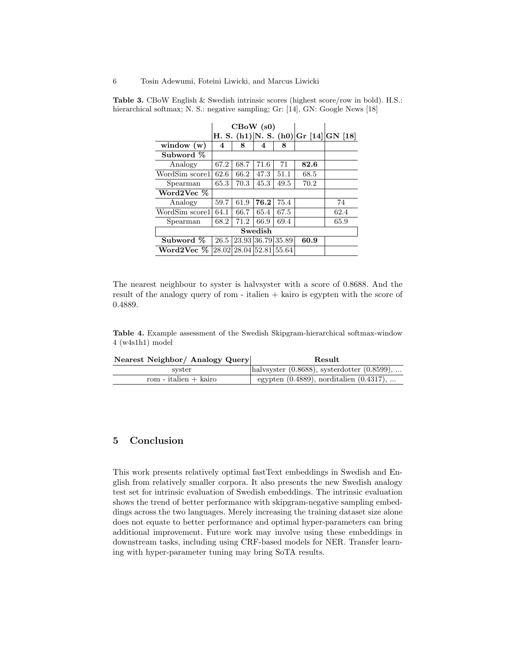|                |      | $\text{CBoW (s0)}$      |      |                   |      |                                       |
|----------------|------|-------------------------|------|-------------------|------|---------------------------------------|
|                |      |                         |      |                   |      | H. S. (h1) N. S. (h0) Gr [14] GN [18] |
| window $(w)$   | 4    | 8                       | 4    | 8                 |      |                                       |
| Subword %      |      |                         |      |                   |      |                                       |
| Analogy        | 67.2 | 68.7                    | 71.6 | 71                | 82.6 |                                       |
| WordSim score1 | 62.6 | 66.2                    | 47.3 | 51.1              | 68.5 |                                       |
| Spearman       | 65.3 | 70.3                    | 45.3 | 49.5              | 70.2 |                                       |
| Word2Vec %     |      |                         |      |                   |      |                                       |
| Analogy        | 59.7 | 61.9                    | 76.2 | 75.4              |      | 74                                    |
| WordSim score1 | 64.1 | 66.7                    | 65.4 | 67.5              |      | 62.4                                  |
| Spearman       | 68.2 | 71.2                    | 66.9 | 69.4              |      | 65.9                                  |
| Swedish        |      |                         |      |                   |      |                                       |
| Subword %      | 26.5 |                         |      | 23.93 36.79 35.89 | 60.9 |                                       |
| Word2Vec $\%$  |      | 28.02 28.04 52.81 55.64 |      |                   |      |                                       |

Table 3. CBoW English & Swedish intrinsic scores (highest score/row in bold). H.S.: hierarchical softmax; N. S.: negative sampling; Gr: [14], GN: Google News [18]

The nearest neighbour to syster is halvsyster with a score of 0.8688. And the result of the analogy query of rom - italien + kairo is egypten with the score of 0.4889.

Table 4. Example assessment of the Swedish Skipgram-hierarchical softmax-window 4 (w4s1h1) model

| Nearest Neighbor/ Analogy Query |  | ${\rm Result}$ |
|---------------------------------|--|----------------|
|---------------------------------|--|----------------|

| syster                | halvsyster $(0.8688)$ , systerdotter $(0.8599)$ , |
|-----------------------|---------------------------------------------------|
| rom - italien + kairo | egypten $(0.4889)$ , norditalien $(0.4317)$ ,     |

# 5 Conclusion

This work presents relatively optimal fastText embeddings in Swedish and English from relatively smaller corpora. It also presents the new Swedish analogy test set for intrinsic evaluation of Swedish embeddings. The intrinsic evaluation shows the trend of better performance with skipgram-negative sampling embeddings across the two languages. Merely increasing the training dataset size alone does not equate to better performance and optimal hyper-parameters can bring additional improvement. Future work may involve using these embeddings in downstream tasks, including using CRF-based models for NER. Transfer learning with hyper-parameter tuning may bring SoTA results.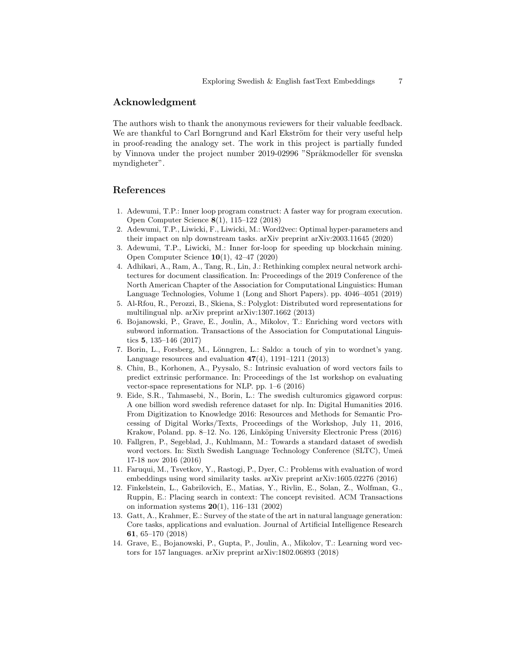## Acknowledgment

The authors wish to thank the anonymous reviewers for their valuable feedback. We are thankful to Carl Borngrund and Karl Ekström for their very useful help in proof-reading the analogy set. The work in this project is partially funded by Vinnova under the project number 2019-02996 "Språkmodeller för svenska myndigheter".

### References

- 1. Adewumi, T.P.: Inner loop program construct: A faster way for program execution. Open Computer Science 8(1), 115–122 (2018)
- 2. Adewumi, T.P., Liwicki, F., Liwicki, M.: Word2vec: Optimal hyper-parameters and their impact on nlp downstream tasks. arXiv preprint arXiv:2003.11645 (2020)
- 3. Adewumi, T.P., Liwicki, M.: Inner for-loop for speeding up blockchain mining. Open Computer Science 10(1), 42–47 (2020)
- 4. Adhikari, A., Ram, A., Tang, R., Lin, J.: Rethinking complex neural network architectures for document classification. In: Proceedings of the 2019 Conference of the North American Chapter of the Association for Computational Linguistics: Human Language Technologies, Volume 1 (Long and Short Papers). pp. 4046–4051 (2019)
- 5. Al-Rfou, R., Perozzi, B., Skiena, S.: Polyglot: Distributed word representations for multilingual nlp. arXiv preprint arXiv:1307.1662 (2013)
- 6. Bojanowski, P., Grave, E., Joulin, A., Mikolov, T.: Enriching word vectors with subword information. Transactions of the Association for Computational Linguistics 5, 135–146 (2017)
- 7. Borin, L., Forsberg, M., Lönngren, L.: Saldo: a touch of yin to wordnet's yang. Language resources and evaluation  $47(4)$ , 1191–1211 (2013)
- 8. Chiu, B., Korhonen, A., Pyysalo, S.: Intrinsic evaluation of word vectors fails to predict extrinsic performance. In: Proceedings of the 1st workshop on evaluating vector-space representations for NLP. pp. 1–6 (2016)
- 9. Eide, S.R., Tahmasebi, N., Borin, L.: The swedish culturomics gigaword corpus: A one billion word swedish reference dataset for nlp. In: Digital Humanities 2016. From Digitization to Knowledge 2016: Resources and Methods for Semantic Processing of Digital Works/Texts, Proceedings of the Workshop, July 11, 2016, Krakow, Poland. pp. 8–12. No. 126, Linköping University Electronic Press (2016)
- 10. Fallgren, P., Segeblad, J., Kuhlmann, M.: Towards a standard dataset of swedish word vectors. In: Sixth Swedish Language Technology Conference (SLTC), Umeå 17-18 nov 2016 (2016)
- 11. Faruqui, M., Tsvetkov, Y., Rastogi, P., Dyer, C.: Problems with evaluation of word embeddings using word similarity tasks. arXiv preprint arXiv:1605.02276 (2016)
- 12. Finkelstein, L., Gabrilovich, E., Matias, Y., Rivlin, E., Solan, Z., Wolfman, G., Ruppin, E.: Placing search in context: The concept revisited. ACM Transactions on information systems  $20(1)$ , 116–131 (2002)
- 13. Gatt, A., Krahmer, E.: Survey of the state of the art in natural language generation: Core tasks, applications and evaluation. Journal of Artificial Intelligence Research 61, 65–170 (2018)
- 14. Grave, E., Bojanowski, P., Gupta, P., Joulin, A., Mikolov, T.: Learning word vectors for 157 languages. arXiv preprint arXiv:1802.06893 (2018)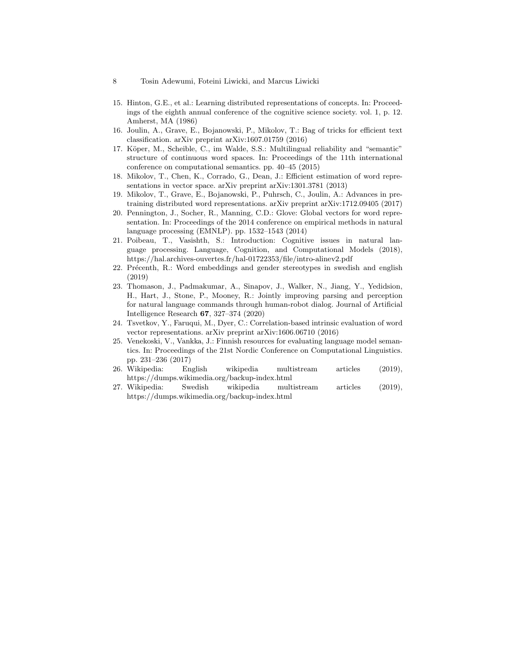- 15. Hinton, G.E., et al.: Learning distributed representations of concepts. In: Proceedings of the eighth annual conference of the cognitive science society. vol. 1, p. 12. Amherst, MA (1986)
- 16. Joulin, A., Grave, E., Bojanowski, P., Mikolov, T.: Bag of tricks for efficient text classification. arXiv preprint arXiv:1607.01759 (2016)
- 17. Köper, M., Scheible, C., im Walde, S.S.: Multilingual reliability and "semantic" structure of continuous word spaces. In: Proceedings of the 11th international conference on computational semantics. pp. 40–45 (2015)
- 18. Mikolov, T., Chen, K., Corrado, G., Dean, J.: Efficient estimation of word representations in vector space. arXiv preprint arXiv:1301.3781 (2013)
- 19. Mikolov, T., Grave, E., Bojanowski, P., Puhrsch, C., Joulin, A.: Advances in pretraining distributed word representations. arXiv preprint arXiv:1712.09405 (2017)
- 20. Pennington, J., Socher, R., Manning, C.D.: Glove: Global vectors for word representation. In: Proceedings of the 2014 conference on empirical methods in natural language processing (EMNLP). pp. 1532–1543 (2014)
- 21. Poibeau, T., Vasishth, S.: Introduction: Cognitive issues in natural language processing. Language, Cognition, and Computational Models (2018), https://hal.archives-ouvertes.fr/hal-01722353/file/intro-alinev2.pdf
- 22. Précenth, R.: Word embeddings and gender stereotypes in swedish and english (2019)
- 23. Thomason, J., Padmakumar, A., Sinapov, J., Walker, N., Jiang, Y., Yedidsion, H., Hart, J., Stone, P., Mooney, R.: Jointly improving parsing and perception for natural language commands through human-robot dialog. Journal of Artificial Intelligence Research 67, 327–374 (2020)
- 24. Tsvetkov, Y., Faruqui, M., Dyer, C.: Correlation-based intrinsic evaluation of word vector representations. arXiv preprint arXiv:1606.06710 (2016)
- 25. Venekoski, V., Vankka, J.: Finnish resources for evaluating language model semantics. In: Proceedings of the 21st Nordic Conference on Computational Linguistics. pp. 231–236 (2017)
- 26. Wikipedia: English wikipedia multistream articles (2019), https://dumps.wikimedia.org/backup-index.html
- 27. Wikipedia: Swedish wikipedia multistream articles (2019), https://dumps.wikimedia.org/backup-index.html

<sup>8</sup> Tosin Adewumi, Foteini Liwicki, and Marcus Liwicki